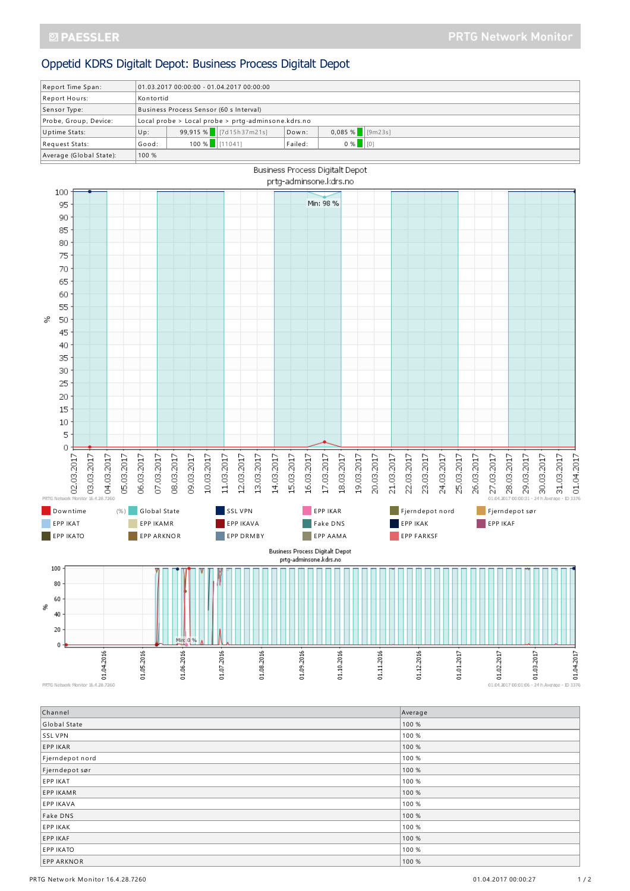## Oppetid KDRS Digitalt Depot: Business Process Digitalt Depot

| Report Time Span:       | $01.03.201700:00:00 - 01.04.201700:00:00$          |                 |                          |         |                    |  |  |
|-------------------------|----------------------------------------------------|-----------------|--------------------------|---------|--------------------|--|--|
| Report Hours:           | Kontortid                                          |                 |                          |         |                    |  |  |
| Sensor Type:            | Business Process Sensor (60 s Interval)            |                 |                          |         |                    |  |  |
| Probe, Group, Device:   | Local probe > Local probe > prtg-adminsone.kdrs.no |                 |                          |         |                    |  |  |
| Uptime Stats:           | Up:                                                |                 | 99,915 % $ 7d15h37m21s $ | Down:   | $0,085%$ [9m23s]   |  |  |
| Request Stats:          | Good:                                              | $100 %$ [11041] |                          | Failed: | $0 %$ $ 00\rangle$ |  |  |
| Average (Global State): | 100 %                                              |                 |                          |         |                    |  |  |
|                         |                                                    |                 |                          |         |                    |  |  |



PRTG Network Monitor 16.4.28.7260

| Channel           | Average |
|-------------------|---------|
| Global State      | 100 %   |
| SSL VPN           | 100 %   |
| <b>EPP IKAR</b>   | 100 %   |
| Fjerndepot nord   | 100 %   |
| Fjerndepot sør    | 100 %   |
| EPP IKAT          | 100 %   |
| <b>EPP IKAMR</b>  | 100 %   |
| <b>EPP IKAVA</b>  | 100 %   |
| Fake DNS          | 100 %   |
| <b>EPP IKAK</b>   | 100 %   |
| EPP IKAF          | 100 %   |
| <b>EPP IKATO</b>  | 100 %   |
| <b>EPP ARKNOR</b> | 100 %   |